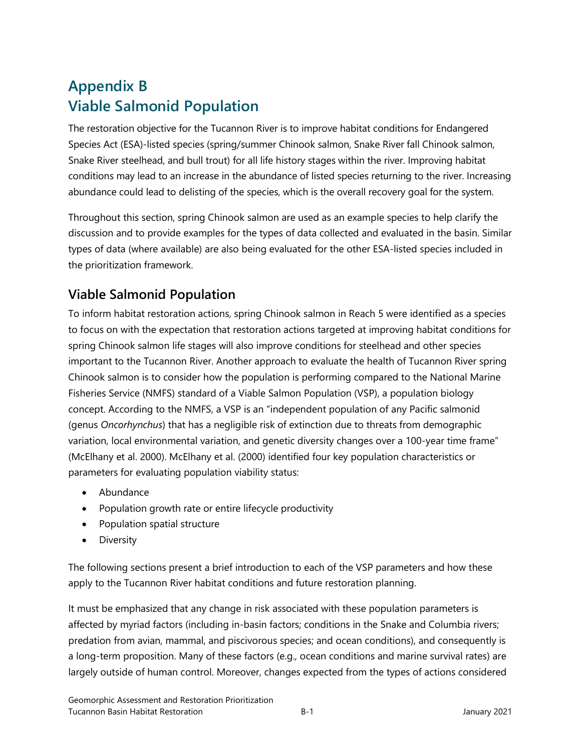# **Appendix B Viable Salmonid Population**

The restoration objective for the Tucannon River is to improve habitat conditions for Endangered Species Act (ESA)-listed species (spring/summer Chinook salmon, Snake River fall Chinook salmon, Snake River steelhead, and bull trout) for all life history stages within the river. Improving habitat conditions may lead to an increase in the abundance of listed species returning to the river. Increasing abundance could lead to delisting of the species, which is the overall recovery goal for the system.

Throughout this section, spring Chinook salmon are used as an example species to help clarify the discussion and to provide examples for the types of data collected and evaluated in the basin. Similar types of data (where available) are also being evaluated for the other ESA-listed species included in the prioritization framework.

### **Viable Salmonid Population**

To inform habitat restoration actions, spring Chinook salmon in Reach 5 were identified as a species to focus on with the expectation that restoration actions targeted at improving habitat conditions for spring Chinook salmon life stages will also improve conditions for steelhead and other species important to the Tucannon River. Another approach to evaluate the health of Tucannon River spring Chinook salmon is to consider how the population is performing compared to the National Marine Fisheries Service (NMFS) standard of a Viable Salmon Population (VSP), a population biology concept. According to the NMFS, a VSP is an "independent population of any Pacific salmonid (genus *Oncorhynchus*) that has a negligible risk of extinction due to threats from demographic variation, local environmental variation, and genetic diversity changes over a 100-year time frame" (McElhany et al. 2000). McElhany et al. (2000) identified four key population characteristics or parameters for evaluating population viability status:

- Abundance
- Population growth rate or entire lifecycle productivity
- Population spatial structure
- Diversity

The following sections present a brief introduction to each of the VSP parameters and how these apply to the Tucannon River habitat conditions and future restoration planning.

It must be emphasized that any change in risk associated with these population parameters is affected by myriad factors (including in-basin factors; conditions in the Snake and Columbia rivers; predation from avian, mammal, and piscivorous species; and ocean conditions), and consequently is a long-term proposition. Many of these factors (e.g., ocean conditions and marine survival rates) are largely outside of human control. Moreover, changes expected from the types of actions considered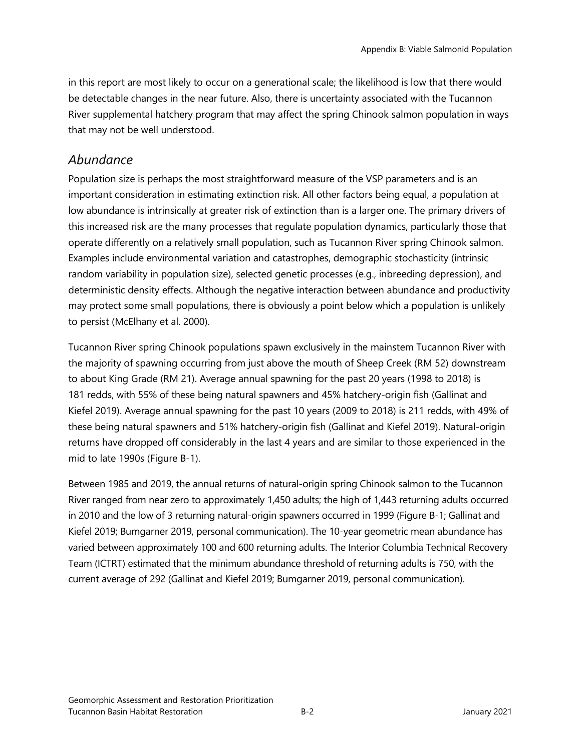in this report are most likely to occur on a generational scale; the likelihood is low that there would be detectable changes in the near future. Also, there is uncertainty associated with the Tucannon River supplemental hatchery program that may affect the spring Chinook salmon population in ways that may not be well understood.

#### *Abundance*

Population size is perhaps the most straightforward measure of the VSP parameters and is an important consideration in estimating extinction risk. All other factors being equal, a population at low abundance is intrinsically at greater risk of extinction than is a larger one. The primary drivers of this increased risk are the many processes that regulate population dynamics, particularly those that operate differently on a relatively small population, such as Tucannon River spring Chinook salmon. Examples include environmental variation and catastrophes, demographic stochasticity (intrinsic random variability in population size), selected genetic processes (e.g., inbreeding depression), and deterministic density effects. Although the negative interaction between abundance and productivity may protect some small populations, there is obviously a point below which a population is unlikely to persist (McElhany et al. 2000).

Tucannon River spring Chinook populations spawn exclusively in the mainstem Tucannon River with the majority of spawning occurring from just above the mouth of Sheep Creek (RM 52) downstream to about King Grade (RM 21). Average annual spawning for the past 20 years (1998 to 2018) is 181 redds, with 55% of these being natural spawners and 45% hatchery-origin fish (Gallinat and Kiefel 2019). Average annual spawning for the past 10 years (2009 to 2018) is 211 redds, with 49% of these being natural spawners and 51% hatchery-origin fish (Gallinat and Kiefel 2019). Natural-origin returns have dropped off considerably in the last 4 years and are similar to those experienced in the mid to late 1990s (Figure B-1).

Between 1985 and 2019, the annual returns of natural-origin spring Chinook salmon to the Tucannon River ranged from near zero to approximately 1,450 adults; the high of 1,443 returning adults occurred in 2010 and the low of 3 returning natural-origin spawners occurred in 1999 (Figure B-1; Gallinat and Kiefel 2019; Bumgarner 2019, personal communication). The 10-year geometric mean abundance has varied between approximately 100 and 600 returning adults. The Interior Columbia Technical Recovery Team (ICTRT) estimated that the minimum abundance threshold of returning adults is 750, with the current average of 292 (Gallinat and Kiefel 2019; Bumgarner 2019, personal communication).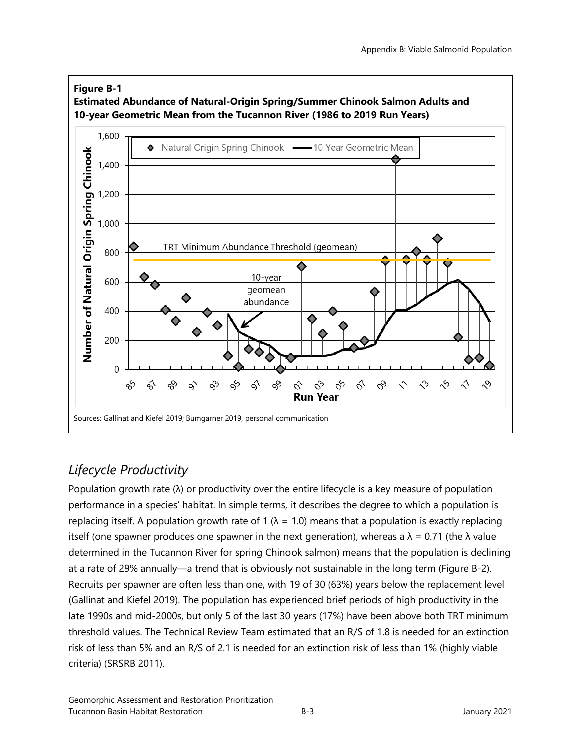

### *Lifecycle Productivity*

Population growth rate  $(\lambda)$  or productivity over the entire lifecycle is a key measure of population performance in a species' habitat. In simple terms, it describes the degree to which a population is replacing itself. A population growth rate of 1 ( $\lambda$  = 1.0) means that a population is exactly replacing itself (one spawner produces one spawner in the next generation), whereas a  $\lambda$  = 0.71 (the  $\lambda$  value determined in the Tucannon River for spring Chinook salmon) means that the population is declining at a rate of 29% annually—a trend that is obviously not sustainable in the long term (Figure B-2). Recruits per spawner are often less than one, with 19 of 30 (63%) years below the replacement level (Gallinat and Kiefel 2019). The population has experienced brief periods of high productivity in the late 1990s and mid-2000s, but only 5 of the last 30 years (17%) have been above both TRT minimum threshold values. The Technical Review Team estimated that an R/S of 1.8 is needed for an extinction risk of less than 5% and an R/S of 2.1 is needed for an extinction risk of less than 1% (highly viable criteria) (SRSRB 2011).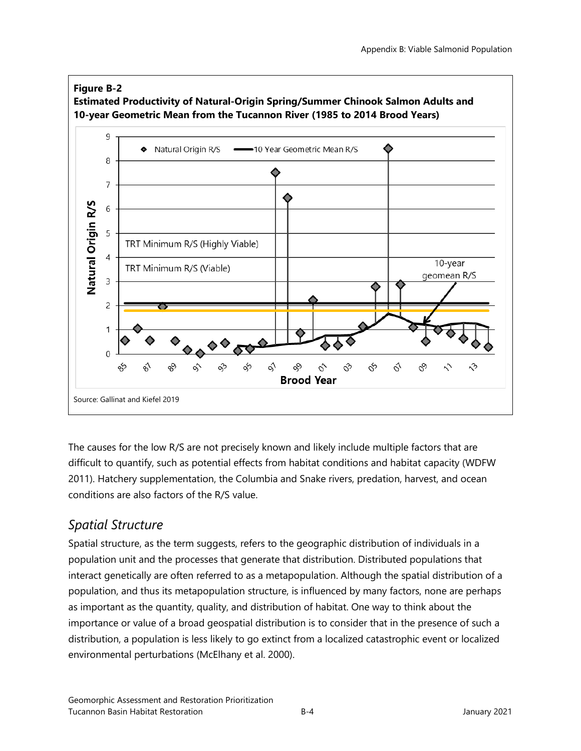

The causes for the low R/S are not precisely known and likely include multiple factors that are difficult to quantify, such as potential effects from habitat conditions and habitat capacity (WDFW 2011). Hatchery supplementation, the Columbia and Snake rivers, predation, harvest, and ocean conditions are also factors of the R/S value.

#### *Spatial Structure*

Spatial structure, as the term suggests, refers to the geographic distribution of individuals in a population unit and the processes that generate that distribution. Distributed populations that interact genetically are often referred to as a metapopulation. Although the spatial distribution of a population, and thus its metapopulation structure, is influenced by many factors, none are perhaps as important as the quantity, quality, and distribution of habitat. One way to think about the importance or value of a broad geospatial distribution is to consider that in the presence of such a distribution, a population is less likely to go extinct from a localized catastrophic event or localized environmental perturbations (McElhany et al. 2000).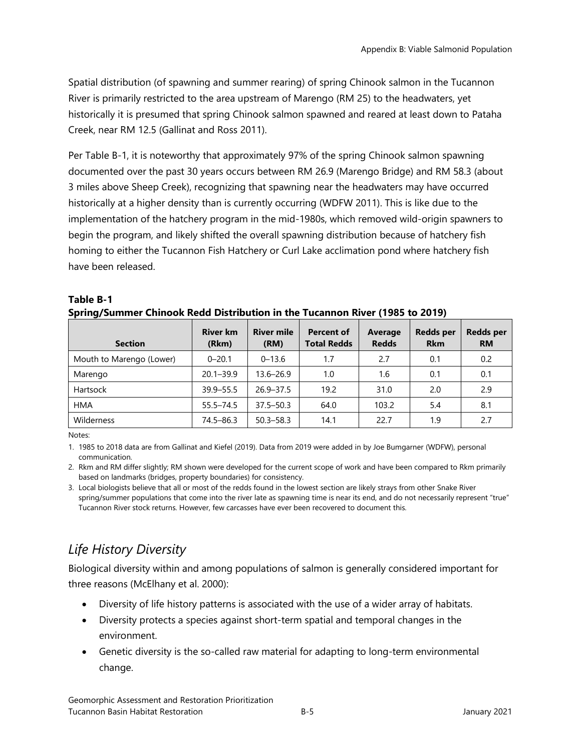Spatial distribution (of spawning and summer rearing) of spring Chinook salmon in the Tucannon River is primarily restricted to the area upstream of Marengo (RM 25) to the headwaters, yet historically it is presumed that spring Chinook salmon spawned and reared at least down to Pataha Creek, near RM 12.5 (Gallinat and Ross 2011).

Per Table B-1, it is noteworthy that approximately 97% of the spring Chinook salmon spawning documented over the past 30 years occurs between RM 26.9 (Marengo Bridge) and RM 58.3 (about 3 miles above Sheep Creek), recognizing that spawning near the headwaters may have occurred historically at a higher density than is currently occurring (WDFW 2011). This is like due to the implementation of the hatchery program in the mid-1980s, which removed wild-origin spawners to begin the program, and likely shifted the overall spawning distribution because of hatchery fish homing to either the Tucannon Fish Hatchery or Curl Lake acclimation pond where hatchery fish have been released.

| <b>Section</b>           | <b>River km</b><br>(Rkm) | <b>River mile</b><br>(RM) | <b>Percent of</b><br><b>Total Redds</b> | Average<br><b>Redds</b> | <b>Redds per</b><br><b>Rkm</b> | <b>Redds per</b><br><b>RM</b> |
|--------------------------|--------------------------|---------------------------|-----------------------------------------|-------------------------|--------------------------------|-------------------------------|
| Mouth to Marengo (Lower) | $0 - 20.1$               | $0 - 13.6$                | 1.7                                     | 2.7                     | 0.1                            | 0.2                           |
| Marengo                  | $20.1 - 39.9$            | 13.6–26.9                 | 1.0                                     | 1.6                     | 0.1                            | 0.1                           |
| Hartsock                 | $39.9 - 55.5$            | $26.9 - 37.5$             | 19.2                                    | 31.0                    | 2.0                            | 2.9                           |
| <b>HMA</b>               | $55.5 - 74.5$            | $37.5 - 50.3$             | 64.0                                    | 103.2                   | 5.4                            | 8.1                           |
| Wilderness               | 74.5-86.3                | $50.3 - 58.3$             | 14.1                                    | 22.7                    | 1.9                            | 2.7                           |

#### **Table B-1 Spring/Summer Chinook Redd Distribution in the Tucannon River (1985 to 2019)**

Notes:

1. 1985 to 2018 data are from Gallinat and Kiefel (2019). Data from 2019 were added in by Joe Bumgarner (WDFW), personal communication.

2. Rkm and RM differ slightly; RM shown were developed for the current scope of work and have been compared to Rkm primarily based on landmarks (bridges, property boundaries) for consistency.

3. Local biologists believe that all or most of the redds found in the lowest section are likely strays from other Snake River spring/summer populations that come into the river late as spawning time is near its end, and do not necessarily represent "true" Tucannon River stock returns. However, few carcasses have ever been recovered to document this.

# *Life History Diversity*

Biological diversity within and among populations of salmon is generally considered important for three reasons (McElhany et al. 2000):

- Diversity of life history patterns is associated with the use of a wider array of habitats.
- Diversity protects a species against short-term spatial and temporal changes in the environment.
- Genetic diversity is the so-called raw material for adapting to long-term environmental change.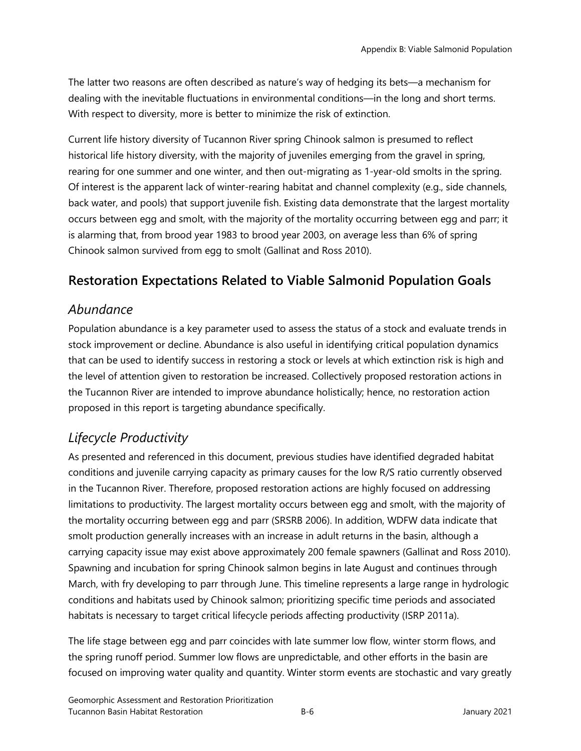The latter two reasons are often described as nature's way of hedging its bets—a mechanism for dealing with the inevitable fluctuations in environmental conditions—in the long and short terms. With respect to diversity, more is better to minimize the risk of extinction.

Current life history diversity of Tucannon River spring Chinook salmon is presumed to reflect historical life history diversity, with the majority of juveniles emerging from the gravel in spring, rearing for one summer and one winter, and then out-migrating as 1-year-old smolts in the spring. Of interest is the apparent lack of winter-rearing habitat and channel complexity (e.g., side channels, back water, and pools) that support juvenile fish. Existing data demonstrate that the largest mortality occurs between egg and smolt, with the majority of the mortality occurring between egg and parr; it is alarming that, from brood year 1983 to brood year 2003, on average less than 6% of spring Chinook salmon survived from egg to smolt (Gallinat and Ross 2010).

### **Restoration Expectations Related to Viable Salmonid Population Goals**

#### *Abundance*

Population abundance is a key parameter used to assess the status of a stock and evaluate trends in stock improvement or decline. Abundance is also useful in identifying critical population dynamics that can be used to identify success in restoring a stock or levels at which extinction risk is high and the level of attention given to restoration be increased. Collectively proposed restoration actions in the Tucannon River are intended to improve abundance holistically; hence, no restoration action proposed in this report is targeting abundance specifically.

#### *Lifecycle Productivity*

As presented and referenced in this document, previous studies have identified degraded habitat conditions and juvenile carrying capacity as primary causes for the low R/S ratio currently observed in the Tucannon River. Therefore, proposed restoration actions are highly focused on addressing limitations to productivity. The largest mortality occurs between egg and smolt, with the majority of the mortality occurring between egg and parr (SRSRB 2006). In addition, WDFW data indicate that smolt production generally increases with an increase in adult returns in the basin, although a carrying capacity issue may exist above approximately 200 female spawners (Gallinat and Ross 2010). Spawning and incubation for spring Chinook salmon begins in late August and continues through March, with fry developing to parr through June. This timeline represents a large range in hydrologic conditions and habitats used by Chinook salmon; prioritizing specific time periods and associated habitats is necessary to target critical lifecycle periods affecting productivity (ISRP 2011a).

The life stage between egg and parr coincides with late summer low flow, winter storm flows, and the spring runoff period. Summer low flows are unpredictable, and other efforts in the basin are focused on improving water quality and quantity. Winter storm events are stochastic and vary greatly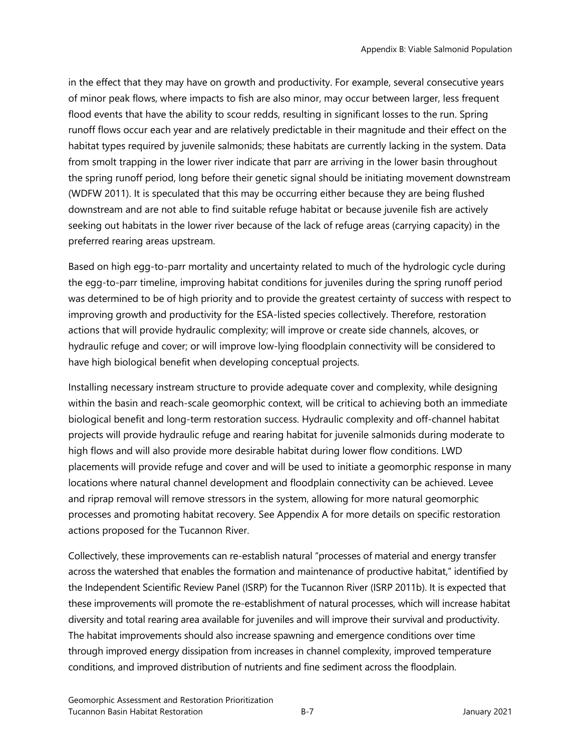in the effect that they may have on growth and productivity. For example, several consecutive years of minor peak flows, where impacts to fish are also minor, may occur between larger, less frequent flood events that have the ability to scour redds, resulting in significant losses to the run. Spring runoff flows occur each year and are relatively predictable in their magnitude and their effect on the habitat types required by juvenile salmonids; these habitats are currently lacking in the system. Data from smolt trapping in the lower river indicate that parr are arriving in the lower basin throughout the spring runoff period, long before their genetic signal should be initiating movement downstream (WDFW 2011). It is speculated that this may be occurring either because they are being flushed downstream and are not able to find suitable refuge habitat or because juvenile fish are actively seeking out habitats in the lower river because of the lack of refuge areas (carrying capacity) in the preferred rearing areas upstream.

Based on high egg-to-parr mortality and uncertainty related to much of the hydrologic cycle during the egg-to-parr timeline, improving habitat conditions for juveniles during the spring runoff period was determined to be of high priority and to provide the greatest certainty of success with respect to improving growth and productivity for the ESA-listed species collectively. Therefore, restoration actions that will provide hydraulic complexity; will improve or create side channels, alcoves, or hydraulic refuge and cover; or will improve low-lying floodplain connectivity will be considered to have high biological benefit when developing conceptual projects.

Installing necessary instream structure to provide adequate cover and complexity, while designing within the basin and reach-scale geomorphic context, will be critical to achieving both an immediate biological benefit and long-term restoration success. Hydraulic complexity and off-channel habitat projects will provide hydraulic refuge and rearing habitat for juvenile salmonids during moderate to high flows and will also provide more desirable habitat during lower flow conditions. LWD placements will provide refuge and cover and will be used to initiate a geomorphic response in many locations where natural channel development and floodplain connectivity can be achieved. Levee and riprap removal will remove stressors in the system, allowing for more natural geomorphic processes and promoting habitat recovery. See Appendix A for more details on specific restoration actions proposed for the Tucannon River.

Collectively, these improvements can re-establish natural "processes of material and energy transfer across the watershed that enables the formation and maintenance of productive habitat," identified by the Independent Scientific Review Panel (ISRP) for the Tucannon River (ISRP 2011b). It is expected that these improvements will promote the re-establishment of natural processes, which will increase habitat diversity and total rearing area available for juveniles and will improve their survival and productivity. The habitat improvements should also increase spawning and emergence conditions over time through improved energy dissipation from increases in channel complexity, improved temperature conditions, and improved distribution of nutrients and fine sediment across the floodplain.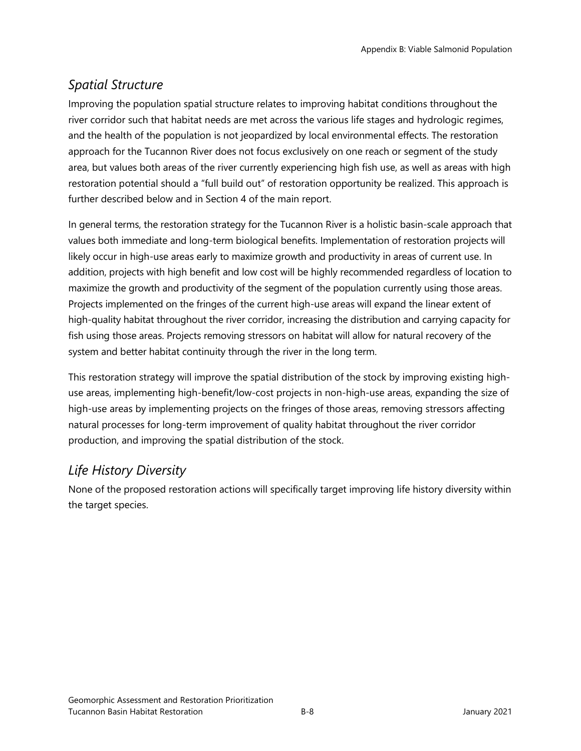## *Spatial Structure*

Improving the population spatial structure relates to improving habitat conditions throughout the river corridor such that habitat needs are met across the various life stages and hydrologic regimes, and the health of the population is not jeopardized by local environmental effects. The restoration approach for the Tucannon River does not focus exclusively on one reach or segment of the study area, but values both areas of the river currently experiencing high fish use, as well as areas with high restoration potential should a "full build out" of restoration opportunity be realized. This approach is further described below and in Section 4 of the main report.

In general terms, the restoration strategy for the Tucannon River is a holistic basin-scale approach that values both immediate and long-term biological benefits. Implementation of restoration projects will likely occur in high-use areas early to maximize growth and productivity in areas of current use. In addition, projects with high benefit and low cost will be highly recommended regardless of location to maximize the growth and productivity of the segment of the population currently using those areas. Projects implemented on the fringes of the current high-use areas will expand the linear extent of high-quality habitat throughout the river corridor, increasing the distribution and carrying capacity for fish using those areas. Projects removing stressors on habitat will allow for natural recovery of the system and better habitat continuity through the river in the long term.

This restoration strategy will improve the spatial distribution of the stock by improving existing highuse areas, implementing high-benefit/low-cost projects in non-high-use areas, expanding the size of high-use areas by implementing projects on the fringes of those areas, removing stressors affecting natural processes for long-term improvement of quality habitat throughout the river corridor production, and improving the spatial distribution of the stock.

# *Life History Diversity*

None of the proposed restoration actions will specifically target improving life history diversity within the target species.